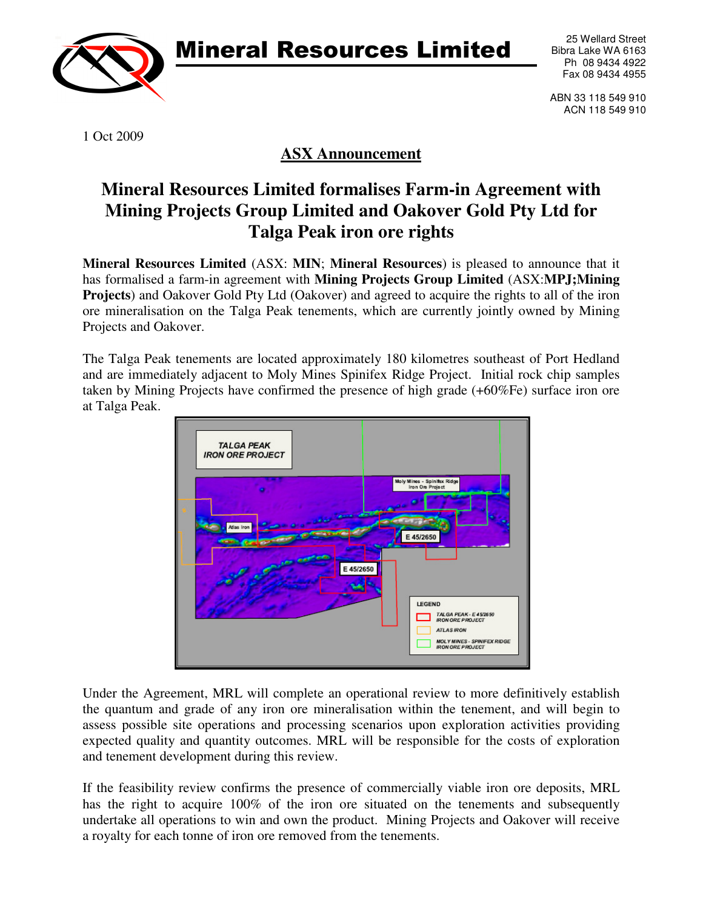Mineral Resources Limited



25 Wellard Street Bibra Lake WA 6163 Ph 08 9434 4922 Fax 08 9434 4955

ABN 33 118 549 910 ACN 118 549 910

1 Oct 2009

## **ASX Announcement**

## **Mineral Resources Limited formalises Farm-in Agreement with Mining Projects Group Limited and Oakover Gold Pty Ltd for Talga Peak iron ore rights**

**Mineral Resources Limited** (ASX: **MIN**; **Mineral Resources**) is pleased to announce that it has formalised a farm-in agreement with **Mining Projects Group Limited** (ASX:**MPJ;Mining Projects**) and Oakover Gold Pty Ltd (Oakover) and agreed to acquire the rights to all of the iron ore mineralisation on the Talga Peak tenements, which are currently jointly owned by Mining Projects and Oakover.

The Talga Peak tenements are located approximately 180 kilometres southeast of Port Hedland and are immediately adjacent to Moly Mines Spinifex Ridge Project. Initial rock chip samples taken by Mining Projects have confirmed the presence of high grade (+60%Fe) surface iron ore at Talga Peak.



Under the Agreement, MRL will complete an operational review to more definitively establish the quantum and grade of any iron ore mineralisation within the tenement, and will begin to assess possible site operations and processing scenarios upon exploration activities providing expected quality and quantity outcomes. MRL will be responsible for the costs of exploration and tenement development during this review.

If the feasibility review confirms the presence of commercially viable iron ore deposits, MRL has the right to acquire 100% of the iron ore situated on the tenements and subsequently undertake all operations to win and own the product. Mining Projects and Oakover will receive a royalty for each tonne of iron ore removed from the tenements.